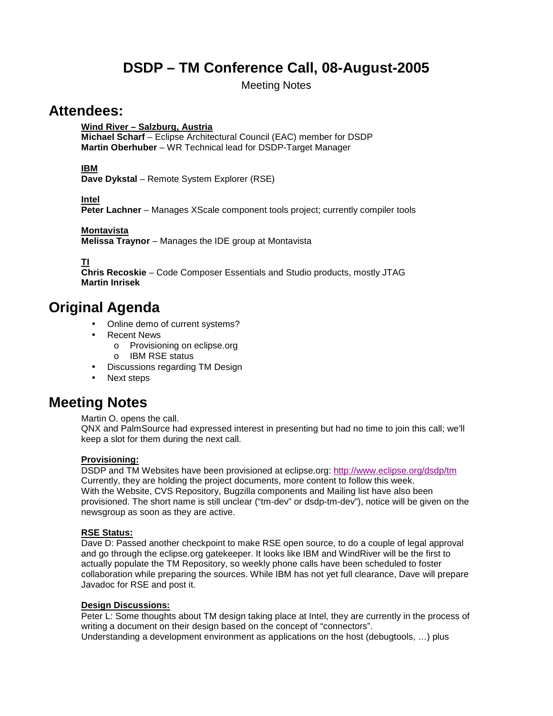# **DSDP – TM Conference Call, 08-August-2005**

Meeting Notes

### **Attendees:**

**Wind River – Salzburg, Austria**

**Michael Scharf** – Eclipse Architectural Council (EAC) member for DSDP **Martin Oberhuber** – WR Technical lead for DSDP-Target Manager

### **IBM**

**Dave Dykstal** – Remote System Explorer (RSE)

**Intel**

**Peter Lachner** – Manages XScale component tools project; currently compiler tools

#### **Montavista**

**Melissa Traynor** – Manages the IDE group at Montavista

**TI**

**Chris Recoskie** – Code Composer Essentials and Studio products, mostly JTAG **Martin Inrisek** 

## **Original Agenda**

- Online demo of current systems?
- Recent News
	- o Provisioning on eclipse.org
	- o IBM RSE status
- Discussions regarding TM Design
- Next steps

## **Meeting Notes**

Martin O. opens the call.

QNX and PalmSource had expressed interest in presenting but had no time to join this call; we'll keep a slot for them during the next call.

### **Provisioning:**

DSDP and TM Websites have been provisioned at eclipse.org: http://www.eclipse.org/dsdp/tm Currently, they are holding the project documents, more content to follow this week. With the Website, CVS Repository, Bugzilla components and Mailing list have also been provisioned. The short name is still unclear ("tm-dev" or dsdp-tm-dev"), notice will be given on the newsgroup as soon as they are active.

#### **RSE Status:**

Dave D: Passed another checkpoint to make RSE open source, to do a couple of legal approval and go through the eclipse.org gatekeeper. It looks like IBM and WindRiver will be the first to actually populate the TM Repository, so weekly phone calls have been scheduled to foster collaboration while preparing the sources. While IBM has not yet full clearance, Dave will prepare Javadoc for RSE and post it.

#### **Design Discussions:**

Peter L: Some thoughts about TM design taking place at Intel, they are currently in the process of writing a document on their design based on the concept of "connectors". Understanding a development environment as applications on the host (debugtools, …) plus